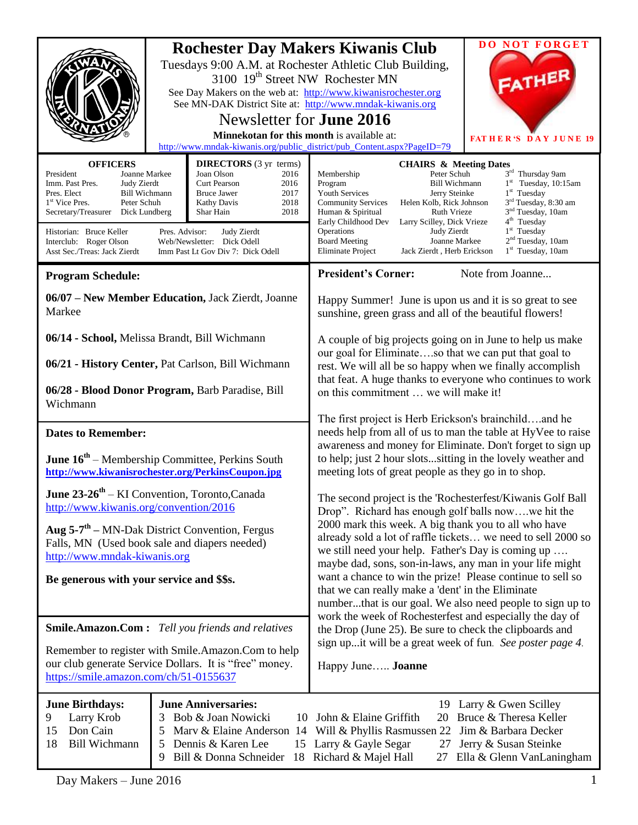|                                                                                                                                                                                                                                                                                                                                                                                                                                                                                                                                                                             | <b>Rochester Day Makers Kiwanis Club</b><br>Tuesdays 9:00 A.M. at Rochester Athletic Club Building,<br>3100 19 <sup>th</sup> Street NW Rochester MN<br>See Day Makers on the web at: http://www.kiwanisrochester.org<br>See MN-DAK District Site at: http://www.mndak-kiwanis.org<br>Newsletter for <b>June 2016</b><br>Minnekotan for this month is available at:<br>http://www.mndak-kiwanis.org/public_district/pub_Content.aspx?PageID=79 |                                                                                                                                                                                                                                                                                                                                                                                                                        |                                                                                                                                                                                                                                                                                                                                                                                                                                                                                                                                                                                                                                                                                                                                                     | <b>DO NOT FORGET</b><br>FATHER<br><b>FATHER'S DAY JUNE 19</b>                                                                   |
|-----------------------------------------------------------------------------------------------------------------------------------------------------------------------------------------------------------------------------------------------------------------------------------------------------------------------------------------------------------------------------------------------------------------------------------------------------------------------------------------------------------------------------------------------------------------------------|-----------------------------------------------------------------------------------------------------------------------------------------------------------------------------------------------------------------------------------------------------------------------------------------------------------------------------------------------------------------------------------------------------------------------------------------------|------------------------------------------------------------------------------------------------------------------------------------------------------------------------------------------------------------------------------------------------------------------------------------------------------------------------------------------------------------------------------------------------------------------------|-----------------------------------------------------------------------------------------------------------------------------------------------------------------------------------------------------------------------------------------------------------------------------------------------------------------------------------------------------------------------------------------------------------------------------------------------------------------------------------------------------------------------------------------------------------------------------------------------------------------------------------------------------------------------------------------------------------------------------------------------------|---------------------------------------------------------------------------------------------------------------------------------|
| <b>OFFICERS</b><br><b>DIRECTORS</b> (3 yr terms)<br>President<br>Joanne Markee<br>Joan Olson<br>2016<br><b>Curt Pearson</b><br>2016<br>Imm. Past Pres.<br>Judy Zierdt<br>2017<br>Pres. Elect<br><b>Bill Wichmann</b><br><b>Bruce Jawer</b><br>Peter Schuh<br>2018<br>1 <sup>st</sup> Vice Pres.<br><b>Kathy Davis</b><br>2018<br>Secretary/Treasurer<br>Dick Lundberg<br>Shar Hain<br>Historian: Bruce Keller<br>Pres. Advisor:<br>Judy Zierdt<br>Interclub: Roger Olson<br>Web/Newsletter: Dick Odell<br>Asst Sec./Treas: Jack Zierdt<br>Imm Past Lt Gov Div 7: Dick Odell |                                                                                                                                                                                                                                                                                                                                                                                                                                               | <b>CHAIRS &amp; Meeting Dates</b><br>Peter Schuh<br>Membership<br><b>Bill Wichmann</b><br>Program<br><b>Youth Services</b><br>Jerry Steinke<br><b>Community Services</b><br>Helen Kolb, Rick Johnson<br>Ruth Vrieze<br>Human & Spiritual<br>Early Childhood Dev<br>Larry Scilley, Dick Vrieze<br>Operations<br>Judy Zierdt<br><b>Board Meeting</b><br>Joanne Markee<br>Eliminate Project<br>Jack Zierdt, Herb Erickson | 3rd Thursday 9am<br>$1st$ Tuesday, 10:15am<br>$1st$ Tuesday<br>3 <sup>rd</sup> Tuesday, 8:30 am<br>3 <sup>nd</sup> Tuesday, 10am<br>4 <sup>th</sup> Tuesday<br>$1st$ Tuesday<br>2 <sup>nd</sup> Tuesday, 10am<br>$1st$ Tuesday, 10am                                                                                                                                                                                                                                                                                                                                                                                                                                                                                                                |                                                                                                                                 |
| <b>Program Schedule:</b>                                                                                                                                                                                                                                                                                                                                                                                                                                                                                                                                                    |                                                                                                                                                                                                                                                                                                                                                                                                                                               |                                                                                                                                                                                                                                                                                                                                                                                                                        | <b>President's Corner:</b>                                                                                                                                                                                                                                                                                                                                                                                                                                                                                                                                                                                                                                                                                                                          | Note from Joanne                                                                                                                |
| 06/07 - New Member Education, Jack Zierdt, Joanne<br>Markee                                                                                                                                                                                                                                                                                                                                                                                                                                                                                                                 |                                                                                                                                                                                                                                                                                                                                                                                                                                               |                                                                                                                                                                                                                                                                                                                                                                                                                        | Happy Summer! June is upon us and it is so great to see<br>sunshine, green grass and all of the beautiful flowers!                                                                                                                                                                                                                                                                                                                                                                                                                                                                                                                                                                                                                                  |                                                                                                                                 |
| 06/14 - School, Melissa Brandt, Bill Wichmann<br>06/21 - History Center, Pat Carlson, Bill Wichmann<br>06/28 - Blood Donor Program, Barb Paradise, Bill<br>Wichmann                                                                                                                                                                                                                                                                                                                                                                                                         |                                                                                                                                                                                                                                                                                                                                                                                                                                               |                                                                                                                                                                                                                                                                                                                                                                                                                        | A couple of big projects going on in June to help us make<br>our goal for Eliminateso that we can put that goal to<br>rest. We will all be so happy when we finally accomplish<br>that feat. A huge thanks to everyone who continues to work<br>on this commitment  we will make it!                                                                                                                                                                                                                                                                                                                                                                                                                                                                |                                                                                                                                 |
|                                                                                                                                                                                                                                                                                                                                                                                                                                                                                                                                                                             |                                                                                                                                                                                                                                                                                                                                                                                                                                               |                                                                                                                                                                                                                                                                                                                                                                                                                        | The first project is Herb Erickson's brainchildand he                                                                                                                                                                                                                                                                                                                                                                                                                                                                                                                                                                                                                                                                                               |                                                                                                                                 |
| <b>Dates to Remember:</b>                                                                                                                                                                                                                                                                                                                                                                                                                                                                                                                                                   |                                                                                                                                                                                                                                                                                                                                                                                                                                               |                                                                                                                                                                                                                                                                                                                                                                                                                        | needs help from all of us to man the table at HyVee to raise                                                                                                                                                                                                                                                                                                                                                                                                                                                                                                                                                                                                                                                                                        |                                                                                                                                 |
| June 16 <sup>th</sup> – Membership Committee, Perkins South<br>http://www.kiwanisrochester.org/PerkinsCoupon.jpg                                                                                                                                                                                                                                                                                                                                                                                                                                                            |                                                                                                                                                                                                                                                                                                                                                                                                                                               |                                                                                                                                                                                                                                                                                                                                                                                                                        | awareness and money for Eliminate. Don't forget to sign up<br>to help; just 2 hour slotssitting in the lovely weather and<br>meeting lots of great people as they go in to shop.                                                                                                                                                                                                                                                                                                                                                                                                                                                                                                                                                                    |                                                                                                                                 |
| June 23-26 <sup>th</sup> – KI Convention, Toronto, Canada<br>http://www.kiwanis.org/convention/2016                                                                                                                                                                                                                                                                                                                                                                                                                                                                         |                                                                                                                                                                                                                                                                                                                                                                                                                                               |                                                                                                                                                                                                                                                                                                                                                                                                                        | The second project is the 'Rochesterfest/Kiwanis Golf Ball<br>Drop". Richard has enough golf balls nowwe hit the<br>2000 mark this week. A big thank you to all who have<br>already sold a lot of raffle tickets we need to sell 2000 so<br>we still need your help. Father's Day is coming up<br>maybe dad, sons, son-in-laws, any man in your life might<br>want a chance to win the prize! Please continue to sell so<br>that we can really make a 'dent' in the Eliminate<br>numberthat is our goal. We also need people to sign up to<br>work the week of Rochesterfest and especially the day of<br>the Drop (June 25). Be sure to check the clipboards and<br>sign upit will be a great week of fun. See poster page 4.<br>Happy June Joanne |                                                                                                                                 |
| Aug $5-7$ <sup>th</sup> – MN-Dak District Convention, Fergus<br>Falls, MN (Used book sale and diapers needed)<br>http://www.mndak-kiwanis.org                                                                                                                                                                                                                                                                                                                                                                                                                               |                                                                                                                                                                                                                                                                                                                                                                                                                                               |                                                                                                                                                                                                                                                                                                                                                                                                                        |                                                                                                                                                                                                                                                                                                                                                                                                                                                                                                                                                                                                                                                                                                                                                     |                                                                                                                                 |
| Be generous with your service and \$\$s.                                                                                                                                                                                                                                                                                                                                                                                                                                                                                                                                    |                                                                                                                                                                                                                                                                                                                                                                                                                                               |                                                                                                                                                                                                                                                                                                                                                                                                                        |                                                                                                                                                                                                                                                                                                                                                                                                                                                                                                                                                                                                                                                                                                                                                     |                                                                                                                                 |
|                                                                                                                                                                                                                                                                                                                                                                                                                                                                                                                                                                             |                                                                                                                                                                                                                                                                                                                                                                                                                                               |                                                                                                                                                                                                                                                                                                                                                                                                                        |                                                                                                                                                                                                                                                                                                                                                                                                                                                                                                                                                                                                                                                                                                                                                     |                                                                                                                                 |
| <b>Smile.Amazon.Com:</b> Tell you friends and relatives                                                                                                                                                                                                                                                                                                                                                                                                                                                                                                                     |                                                                                                                                                                                                                                                                                                                                                                                                                                               |                                                                                                                                                                                                                                                                                                                                                                                                                        |                                                                                                                                                                                                                                                                                                                                                                                                                                                                                                                                                                                                                                                                                                                                                     |                                                                                                                                 |
|                                                                                                                                                                                                                                                                                                                                                                                                                                                                                                                                                                             |                                                                                                                                                                                                                                                                                                                                                                                                                                               |                                                                                                                                                                                                                                                                                                                                                                                                                        |                                                                                                                                                                                                                                                                                                                                                                                                                                                                                                                                                                                                                                                                                                                                                     |                                                                                                                                 |
| Remember to register with Smile.Amazon.Com to help<br>our club generate Service Dollars. It is "free" money.<br>https://smile.amazon.com/ch/51-0155637                                                                                                                                                                                                                                                                                                                                                                                                                      |                                                                                                                                                                                                                                                                                                                                                                                                                                               |                                                                                                                                                                                                                                                                                                                                                                                                                        |                                                                                                                                                                                                                                                                                                                                                                                                                                                                                                                                                                                                                                                                                                                                                     |                                                                                                                                 |
| <b>June Birthdays:</b><br>Larry Krob<br>9<br>Don Cain<br>15<br><b>Bill Wichmann</b><br>18                                                                                                                                                                                                                                                                                                                                                                                                                                                                                   | 3<br>5<br>5<br>9                                                                                                                                                                                                                                                                                                                                                                                                                              | <b>June Anniversaries:</b><br>Bob & Joan Nowicki<br>10<br>Mary & Elaine Anderson 14<br>Dennis & Karen Lee<br>Bill & Donna Schneider                                                                                                                                                                                                                                                                                    | John & Elaine Griffith<br>20<br>Will & Phyllis Rasmussen 22<br>15 Larry & Gayle Segar<br>27<br>18 Richard & Majel Hall<br>27                                                                                                                                                                                                                                                                                                                                                                                                                                                                                                                                                                                                                        | 19 Larry & Gwen Scilley<br>Bruce & Theresa Keller<br>Jim & Barbara Decker<br>Jerry & Susan Steinke<br>Ella & Glenn VanLaningham |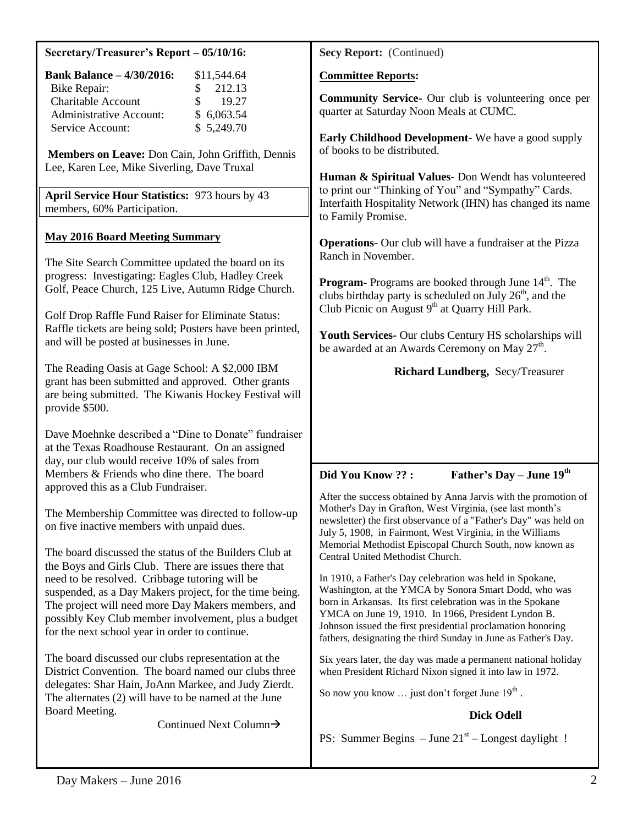| Secretary/Treasurer's Report - 05/10/16: |
|------------------------------------------|
|------------------------------------------|

| <b>Bank Balance - 4/30/2016:</b> | \$11,544.64   |
|----------------------------------|---------------|
| Bike Repair:                     | 212.13<br>SS. |
| <b>Charitable Account</b>        | 19.27<br>S.   |
| <b>Administrative Account:</b>   | \$6,063.54    |
| Service Account:                 | \$5,249.70    |

**Members on Leave:** Don Cain, John Griffith, Dennis Lee, Karen Lee, Mike Siverling, Dave Truxal

**April Service Hour Statistics:** 973 hours by 43 members, 60% Participation.

#### **May 2016 Board Meeting Summary**

The Site Search Committee updated the board on its progress: Investigating: Eagles Club, Hadley Creek Golf, Peace Church, 125 Live, Autumn Ridge Church.

Golf Drop Raffle Fund Raiser for Eliminate Status: Raffle tickets are being sold; Posters have been printed, and will be posted at businesses in June.

The Reading Oasis at Gage School: A \$2,000 IBM grant has been submitted and approved. Other grants are being submitted. The Kiwanis Hockey Festival will provide \$500.

Dave Moehnke described a "Dine to Donate" fundraiser at the Texas Roadhouse Restaurant. On an assigned day, our club would receive 10% of sales from Members & Friends who dine there. The board approved this as a Club Fundraiser.

The Membership Committee was directed to follow-up on five inactive members with unpaid dues.

The board discussed the status of the Builders Club at the Boys and Girls Club. There are issues there that need to be resolved. Cribbage tutoring will be suspended, as a Day Makers project, for the time being. The project will need more Day Makers members, and possibly Key Club member involvement, plus a budget for the next school year in order to continue.

The board discussed our clubs representation at the District Convention. The board named our clubs three delegates: Shar Hain, JoAnn Markee, and Judy Zierdt. The alternates (2) will have to be named at the June Board Meeting.

Continued Next Column

**Secy Report:** (Continued)

**Committee Reports:**

**Community Service-** Our club is volunteering once per quarter at Saturday Noon Meals at CUMC.

**Early Childhood Development-** We have a good supply of books to be distributed.

**Human & Spiritual Values-** Don Wendt has volunteered to print our "Thinking of You" and "Sympathy" Cards. Interfaith Hospitality Network (IHN) has changed its name to Family Promise.

**Operations-** Our club will have a fundraiser at the Pizza Ranch in November.

**Program-** Programs are booked through June 14<sup>th</sup>. The clubs birthday party is scheduled on July  $26<sup>th</sup>$ , and the Club Picnic on August  $9<sup>th</sup>$  at Quarry Hill Park.

**Youth Services-** Our clubs Century HS scholarships will be awarded at an Awards Ceremony on May 27<sup>th</sup>.

#### **Richard Lundberg,** Secy/Treasurer

**Did You Know ?? : Father's Day – June 19th**

After the success obtained by Anna Jarvis with the promotion of Mother's Day in Grafton, West Virginia, (see last month's newsletter) the first observance of a "Father's Day" was held on July 5, 1908, in Fairmont, West Virginia, in the Williams Memorial Methodist Episcopal Church South, now known as Central United Methodist Church.

In 1910, a Father's Day celebration was held in Spokane, Washington, at the YMCA by Sonora Smart Dodd, who was born in Arkansas. Its first celebration was in the Spokane YMCA on June 19, 1910. In 1966, President Lyndon B. Johnson issued the first presidential proclamation honoring fathers, designating the third Sunday in June as Father's Day.

Six years later, the day was made a permanent national holiday when President Richard Nixon signed it into law in 1972.

So now you know  $\ldots$  just don't forget June  $19<sup>th</sup>$ .

## **Dick Odell**

PS: Summer Begins  $-$  June  $21<sup>st</sup>$  – Longest daylight !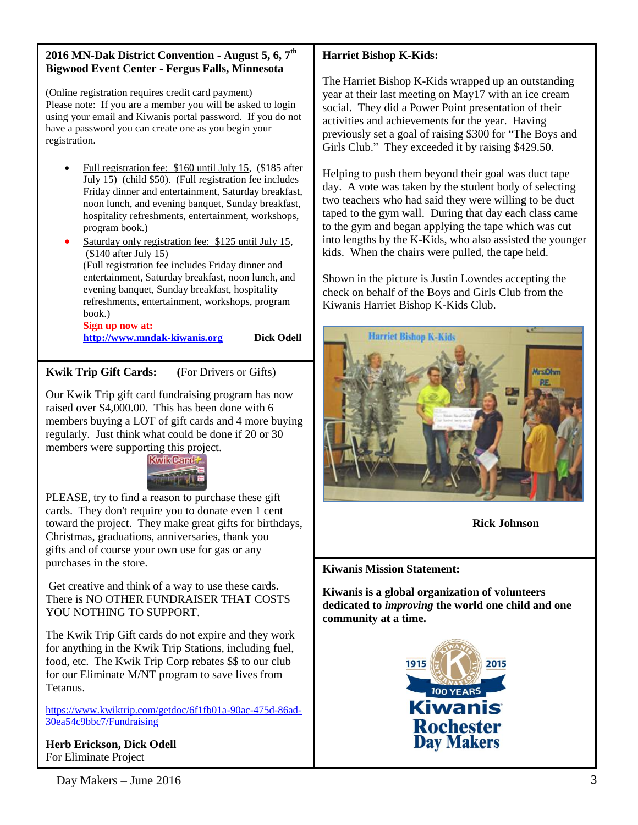#### **2016 MN-Dak District Convention - August 5, 6, 7th Bigwood Event Center - Fergus Falls, Minnesota**

(Online registration requires credit card payment) Please note: If you are a member you will be asked to login using your email and Kiwanis portal password. If you do not have a password you can create one as you begin your registration.

- Full registration fee: \$160 until July 15, (\$185 after July 15) (child \$50). (Full registration fee includes Friday dinner and entertainment, Saturday breakfast, noon lunch, and evening banquet, Sunday breakfast, hospitality refreshments, entertainment, workshops, program book.)
- Saturday only registration fee: \$125 until July 15, (\$140 after July 15) (Full registration fee includes Friday dinner and entertainment, Saturday breakfast, noon lunch, and evening banquet, Sunday breakfast, hospitality refreshments, entertainment, workshops, program book.) **Sign up now at:**

**[http://www.mndak-kiwanis.org](http://www.mndak-kiwanis.org/) Dick Odell**

# **Kwik Trip Gift Cards: (**For Drivers or Gifts)

Our Kwik Trip gift card fundraising program has now raised over \$4,000.00. This has been done with 6 members buying a LOT of gift cards and 4 more buying regularly. Just think what could be done if 20 or 30 members were supporting this project.



PLEASE, try to find a reason to purchase these gift cards. They don't require you to donate even 1 cent toward the project. They make great gifts for birthdays, Christmas, graduations, anniversaries, thank you gifts and of course your own use for gas or any purchases in the store.

Get creative and think of a way to use these cards. There is NO OTHER FUNDRAISER THAT COSTS YOU NOTHING TO SUPPORT.

The Kwik Trip Gift cards do not expire and they work for anything in the Kwik Trip Stations, including fuel, food, etc. The Kwik Trip Corp rebates \$\$ to our club for our Eliminate M/NT program to save lives from Tetanus.

[https://www.kwiktrip.com/getdoc/6f1fb01a-90ac-475d-86ad-](https://www.kwiktrip.com/getdoc/6f1fb01a-90ac-475d-86ad-30ea54c9bbc7/Fundraising)[30ea54c9bbc7/Fundraising](https://www.kwiktrip.com/getdoc/6f1fb01a-90ac-475d-86ad-30ea54c9bbc7/Fundraising)

**Herb Erickson, Dick Odell** For Eliminate Project

## **Harriet Bishop K-Kids:**

The Harriet Bishop K-Kids wrapped up an outstanding year at their last meeting on May17 with an ice cream social. They did a Power Point presentation of their activities and achievements for the year. Having previously set a goal of raising \$300 for "The Boys and Girls Club." They exceeded it by raising \$429.50.

Helping to push them beyond their goal was duct tape day. A vote was taken by the student body of selecting two teachers who had said they were willing to be duct taped to the gym wall. During that day each class came to the gym and began applying the tape which was cut into lengths by the K-Kids, who also assisted the younger kids. When the chairs were pulled, the tape held.

Shown in the picture is Justin Lowndes accepting the check on behalf of the Boys and Girls Club from the Kiwanis Harriet Bishop K-Kids Club.



**Rick Johnson**

## **Kiwanis Mission Statement:**

**Kiwanis is a global organization of volunteers dedicated to** *improving* **the world one child and one community at a time.**